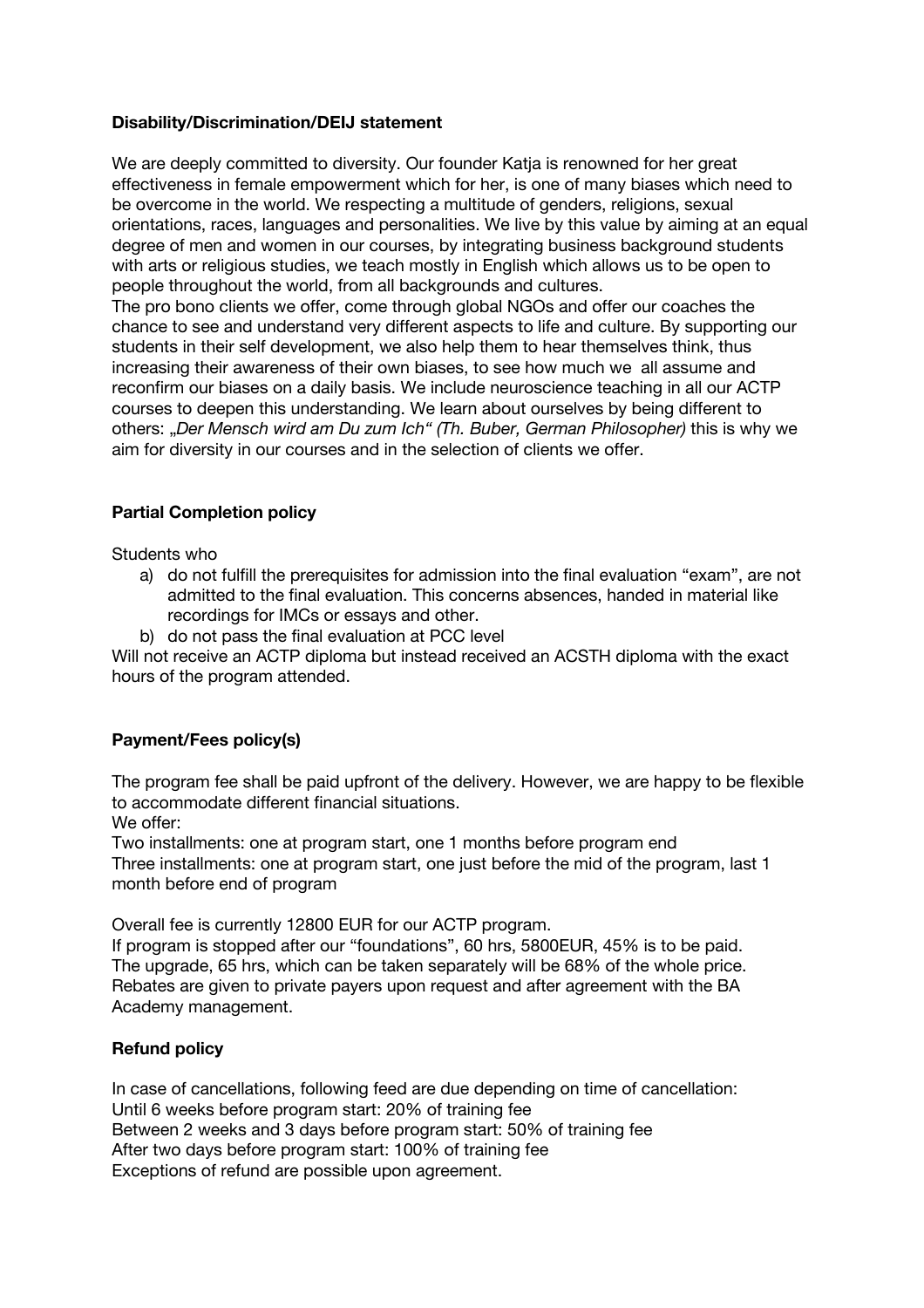### **Disability/Discrimination/DEIJ statement**

We are deeply committed to diversity. Our founder Katja is renowned for her great effectiveness in female empowerment which for her, is one of many biases which need to be overcome in the world. We respecting a multitude of genders, religions, sexual orientations, races, languages and personalities. We live by this value by aiming at an equal degree of men and women in our courses, by integrating business background students with arts or religious studies, we teach mostly in English which allows us to be open to people throughout the world, from all backgrounds and cultures.

The pro bono clients we offer, come through global NGOs and offer our coaches the chance to see and understand very different aspects to life and culture. By supporting our students in their self development, we also help them to hear themselves think, thus increasing their awareness of their own biases, to see how much we all assume and reconfirm our biases on a daily basis. We include neuroscience teaching in all our ACTP courses to deepen this understanding. We learn about ourselves by being different to others: "*Der Mensch wird am Du zum Ich" (Th. Buber, German Philosopher)* this is why we aim for diversity in our courses and in the selection of clients we offer.

## **Partial Completion policy**

Students who

- a) do not fulfill the prerequisites for admission into the final evaluation "exam", are not admitted to the final evaluation. This concerns absences, handed in material like recordings for IMCs or essays and other.
- b) do not pass the final evaluation at PCC level

Will not receive an ACTP diploma but instead received an ACSTH diploma with the exact hours of the program attended.

# **Payment/Fees policy(s)**

The program fee shall be paid upfront of the delivery. However, we are happy to be flexible to accommodate different financial situations.

We offer:

Two installments: one at program start, one 1 months before program end Three installments: one at program start, one just before the mid of the program, last 1 month before end of program

Overall fee is currently 12800 EUR for our ACTP program.

If program is stopped after our "foundations", 60 hrs, 5800EUR, 45% is to be paid. The upgrade, 65 hrs, which can be taken separately will be 68% of the whole price. Rebates are given to private payers upon request and after agreement with the BA Academy management.

### **Refund policy**

In case of cancellations, following feed are due depending on time of cancellation: Until 6 weeks before program start: 20% of training fee Between 2 weeks and 3 days before program start: 50% of training fee After two days before program start: 100% of training fee Exceptions of refund are possible upon agreement.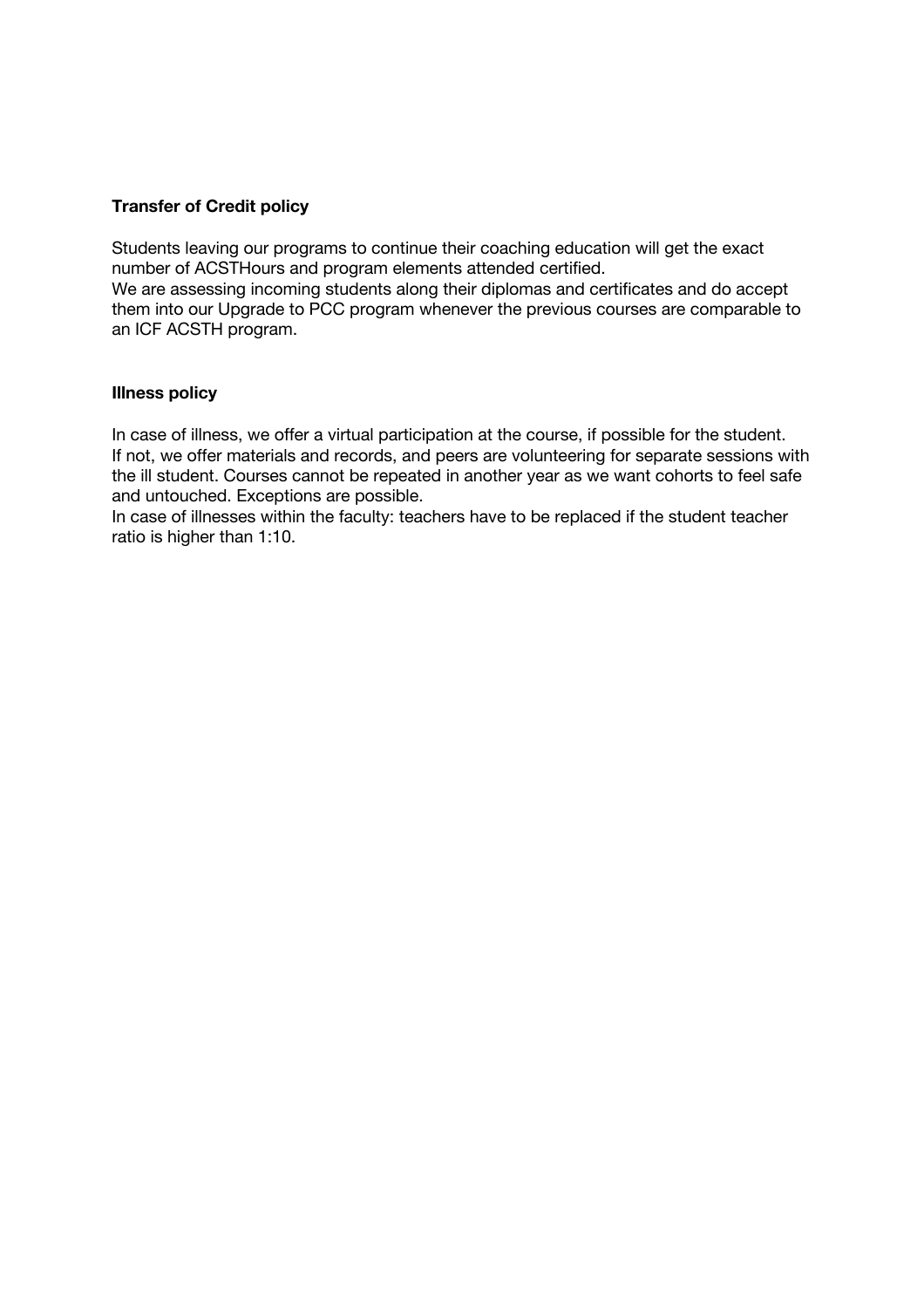#### **Transfer of Credit policy**

Students leaving our programs to continue their coaching education will get the exact number of ACSTHours and program elements attended certified. We are assessing incoming students along their diplomas and certificates and do accept them into our Upgrade to PCC program whenever the previous courses are comparable to an ICF ACSTH program.

#### **Illness policy**

In case of illness, we offer a virtual participation at the course, if possible for the student. If not, we offer materials and records, and peers are volunteering for separate sessions with the ill student. Courses cannot be repeated in another year as we want cohorts to feel safe and untouched. Exceptions are possible.

In case of illnesses within the faculty: teachers have to be replaced if the student teacher ratio is higher than 1:10.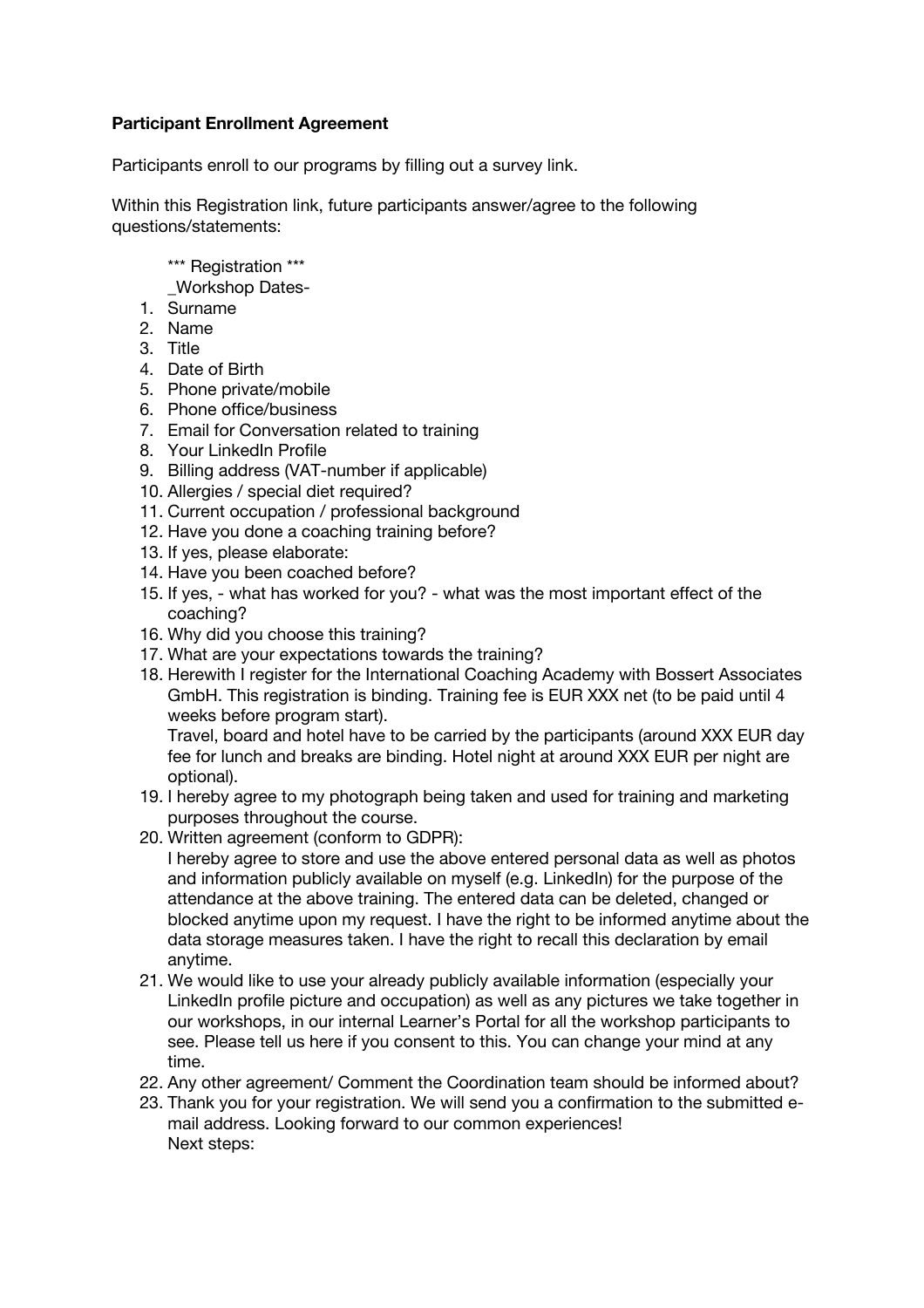## **Participant Enrollment Agreement**

Participants enroll to our programs by filling out a survey link.

Within this Registration link, future participants answer/agree to the following questions/statements:

- \*\*\* Registration \*\*\*
- \_Workshop Dates-
- 1. Surname
- 2. Name
- 3. Title
- 4. Date of Birth
- 5. Phone private/mobile
- 6. Phone office/business
- 7. Email for Conversation related to training
- 8. Your LinkedIn Profile
- 9. Billing address (VAT-number if applicable)
- 10. Allergies / special diet required?
- 11. Current occupation / professional background
- 12. Have you done a coaching training before?
- 13. If yes, please elaborate:
- 14. Have you been coached before?
- 15. If yes, what has worked for you? what was the most important effect of the coaching?
- 16. Why did you choose this training?
- 17. What are your expectations towards the training?
- 18. Herewith I register for the International Coaching Academy with Bossert Associates GmbH. This registration is binding. Training fee is EUR XXX net (to be paid until 4 weeks before program start).

Travel, board and hotel have to be carried by the participants (around XXX EUR day fee for lunch and breaks are binding. Hotel night at around XXX EUR per night are optional).

- 19. I hereby agree to my photograph being taken and used for training and marketing purposes throughout the course.
- 20. Written agreement (conform to GDPR):
	- I hereby agree to store and use the above entered personal data as well as photos and information publicly available on myself (e.g. LinkedIn) for the purpose of the attendance at the above training. The entered data can be deleted, changed or blocked anytime upon my request. I have the right to be informed anytime about the data storage measures taken. I have the right to recall this declaration by email anytime.
- 21. We would like to use your already publicly available information (especially your LinkedIn profile picture and occupation) as well as any pictures we take together in our workshops, in our internal Learner's Portal for all the workshop participants to see. Please tell us here if you consent to this. You can change your mind at any time.
- 22. Any other agreement/ Comment the Coordination team should be informed about?
- 23. Thank you for your registration. We will send you a confirmation to the submitted email address. Looking forward to our common experiences! Next steps: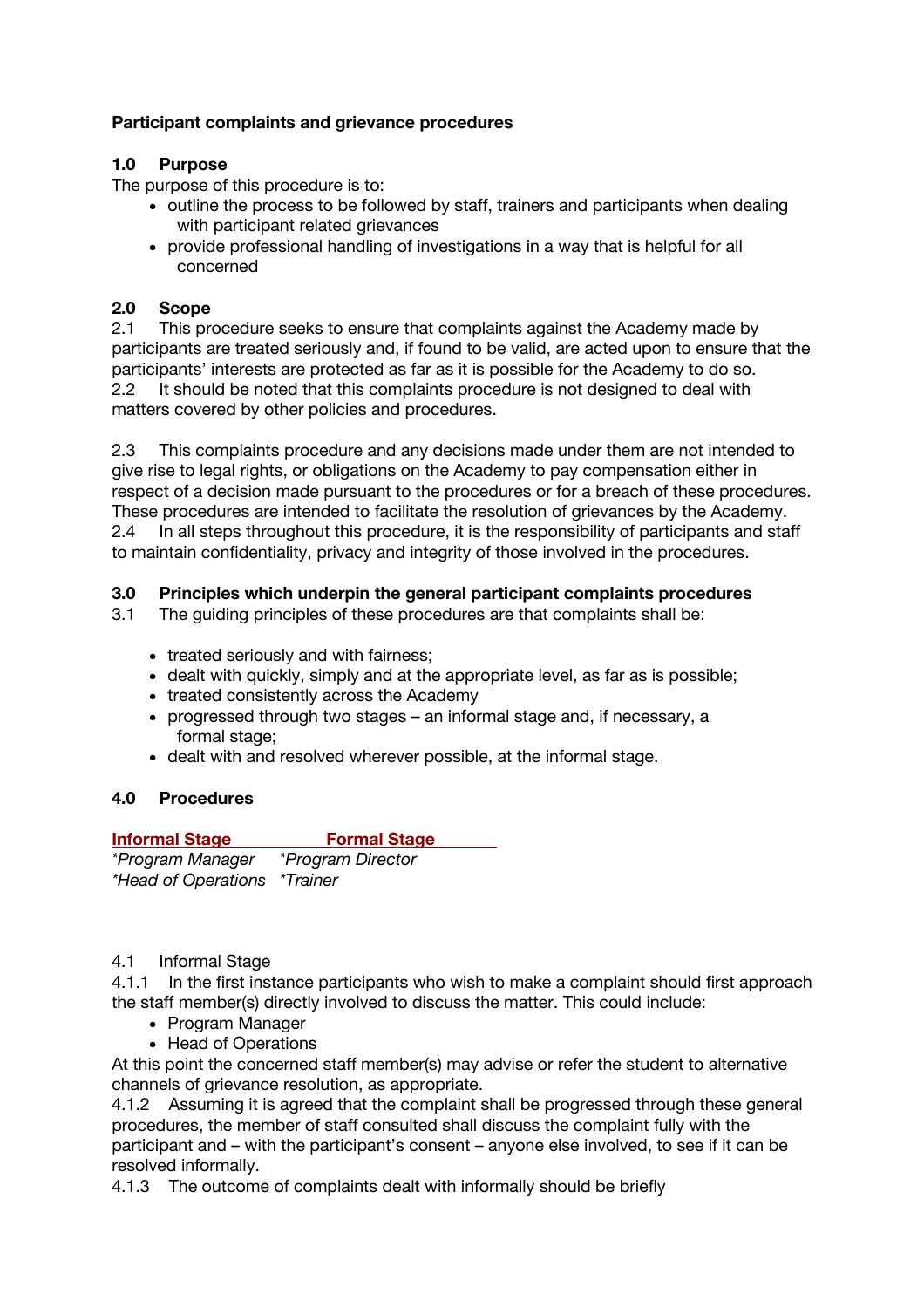# **Participant complaints and grievance procedures**

# **1.0 Purpose**

The purpose of this procedure is to:

- outline the process to be followed by staff, trainers and participants when dealing with participant related grievances
- provide professional handling of investigations in a way that is helpful for all concerned

### **2.0 Scope**

2.1 This procedure seeks to ensure that complaints against the Academy made by participants are treated seriously and, if found to be valid, are acted upon to ensure that the participants' interests are protected as far as it is possible for the Academy to do so. 2.2 It should be noted that this complaints procedure is not designed to deal with matters covered by other policies and procedures.

2.3 This complaints procedure and any decisions made under them are not intended to give rise to legal rights, or obligations on the Academy to pay compensation either in respect of a decision made pursuant to the procedures or for a breach of these procedures. These procedures are intended to facilitate the resolution of grievances by the Academy. 2.4 In all steps throughout this procedure, it is the responsibility of participants and staff to maintain confidentiality, privacy and integrity of those involved in the procedures.

## **3.0 Principles which underpin the general participant complaints procedures**

- 3.1 The guiding principles of these procedures are that complaints shall be:
	- treated seriously and with fairness;
	- dealt with quickly, simply and at the appropriate level, as far as is possible;
	- treated consistently across the Academy
	- progressed through two stages an informal stage and, if necessary, a formal stage;
	- dealt with and resolved wherever possible, at the informal stage.

# **4.0 Procedures**

| <b>Informal Stage</b>               | <b>Formal Stage</b>      |
|-------------------------------------|--------------------------|
| *Program Manager                    | <i>*Program Director</i> |
| <i>*Head of Operations *Trainer</i> |                          |

### 4.1 Informal Stage

4.1.1 In the first instance participants who wish to make a complaint should first approach the staff member(s) directly involved to discuss the matter. This could include:

- Program Manager
- Head of Operations

At this point the concerned staff member(s) may advise or refer the student to alternative channels of grievance resolution, as appropriate.

4.1.2 Assuming it is agreed that the complaint shall be progressed through these general procedures, the member of staff consulted shall discuss the complaint fully with the participant and – with the participant's consent – anyone else involved, to see if it can be resolved informally.

4.1.3 The outcome of complaints dealt with informally should be briefly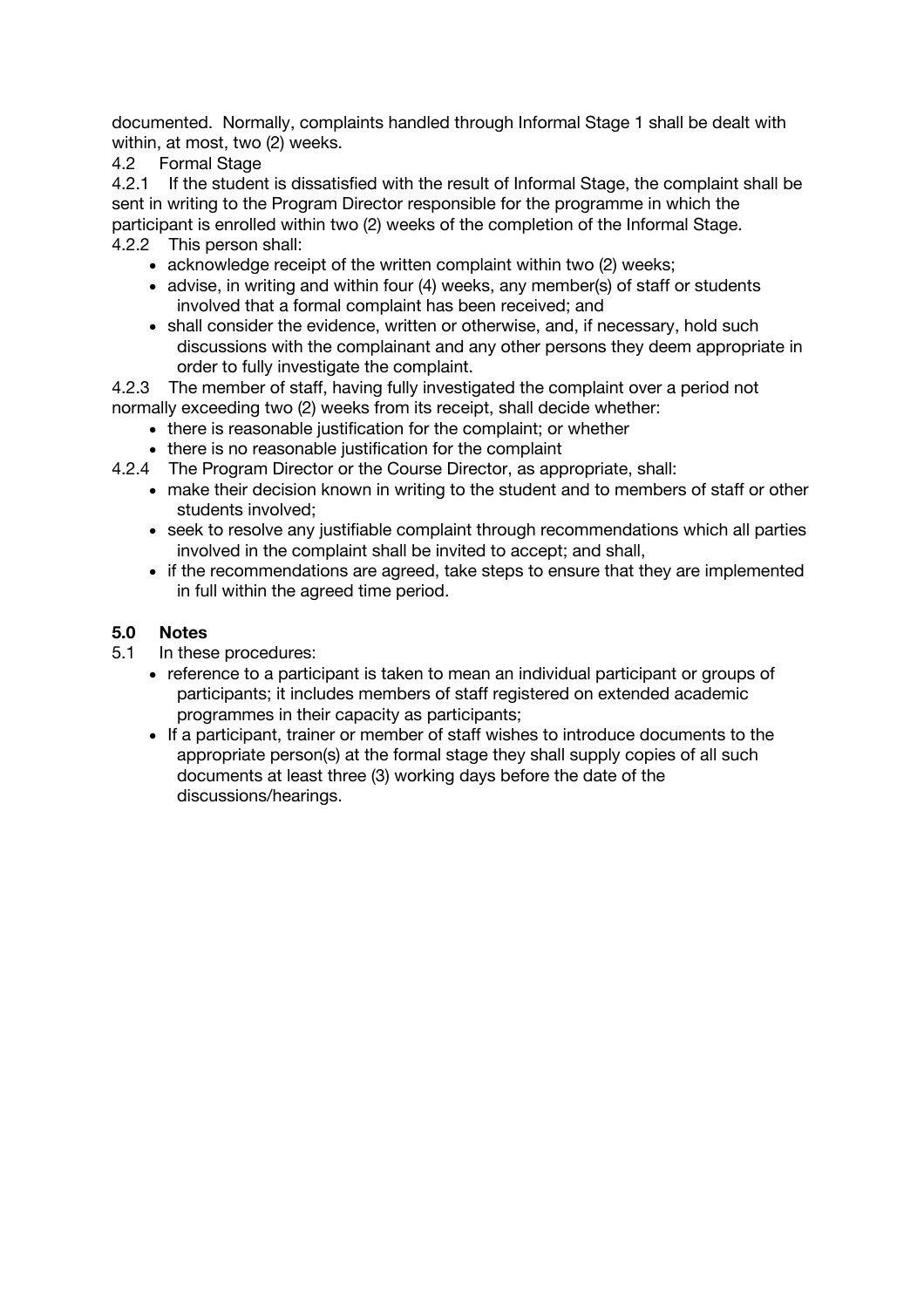documented. Normally, complaints handled through Informal Stage 1 shall be dealt with within, at most, two (2) weeks.

4.2 Formal Stage

4.2.1 If the student is dissatisfied with the result of Informal Stage, the complaint shall be sent in writing to the Program Director responsible for the programme in which the participant is enrolled within two (2) weeks of the completion of the Informal Stage.

4.2.2 This person shall:

- acknowledge receipt of the written complaint within two (2) weeks;
- advise, in writing and within four (4) weeks, any member(s) of staff or students involved that a formal complaint has been received; and
- shall consider the evidence, written or otherwise, and, if necessary, hold such discussions with the complainant and any other persons they deem appropriate in order to fully investigate the complaint.

4.2.3 The member of staff, having fully investigated the complaint over a period not normally exceeding two (2) weeks from its receipt, shall decide whether:

- there is reasonable justification for the complaint; or whether
- there is no reasonable justification for the complaint
- 4.2.4 The Program Director or the Course Director, as appropriate, shall:
	- make their decision known in writing to the student and to members of staff or other students involved;
	- seek to resolve any justifiable complaint through recommendations which all parties involved in the complaint shall be invited to accept; and shall,
	- if the recommendations are agreed, take steps to ensure that they are implemented in full within the agreed time period.

## **5.0 Notes**

- 5.1 In these procedures:
	- reference to a participant is taken to mean an individual participant or groups of participants; it includes members of staff registered on extended academic programmes in their capacity as participants;
	- If a participant, trainer or member of staff wishes to introduce documents to the appropriate person(s) at the formal stage they shall supply copies of all such documents at least three (3) working days before the date of the discussions/hearings.